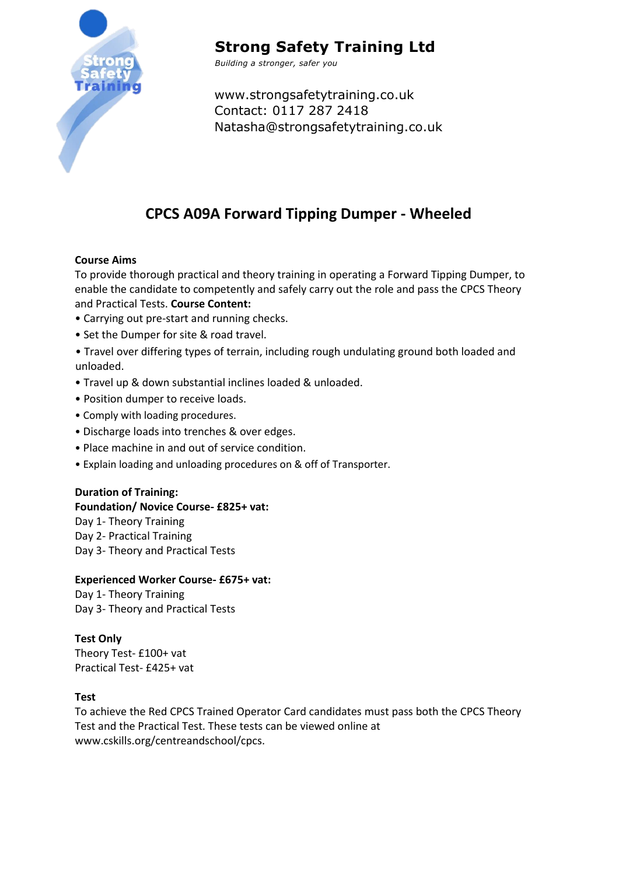

## **Strong Safety Training Ltd**

*Building a stronger, safer you*

www.strongsafetytraining.co.uk Contact: 0117 287 2418 Natasha@strongsafetytraining.co.uk

### **CPCS A09A Forward Tipping Dumper - Wheeled**

#### **Course Aims**

To provide thorough practical and theory training in operating a Forward Tipping Dumper, to enable the candidate to competently and safely carry out the role and pass the CPCS Theory and Practical Tests. **Course Content:** 

- Carrying out pre-start and running checks.
- Set the Dumper for site & road travel.
- Travel over differing types of terrain, including rough undulating ground both loaded and unloaded.
- Travel up & down substantial inclines loaded & unloaded.
- Position dumper to receive loads.
- Comply with loading procedures.
- Discharge loads into trenches & over edges.
- Place machine in and out of service condition.
- Explain loading and unloading procedures on & off of Transporter.

#### **Duration of Training:**

#### **Foundation/ Novice Course- £825+ vat:**

Day 1- Theory Training Day 2- Practical Training Day 3- Theory and Practical Tests

#### **Experienced Worker Course- £675+ vat:**

Day 1- Theory Training Day 3- Theory and Practical Tests

### **Test Only**

Theory Test- £100+ vat Practical Test- £425+ vat

#### **Test**

To achieve the Red CPCS Trained Operator Card candidates must pass both the CPCS Theory Test and the Practical Test. These tests can be viewed online at www.cskills.org/centreandschool/cpcs.